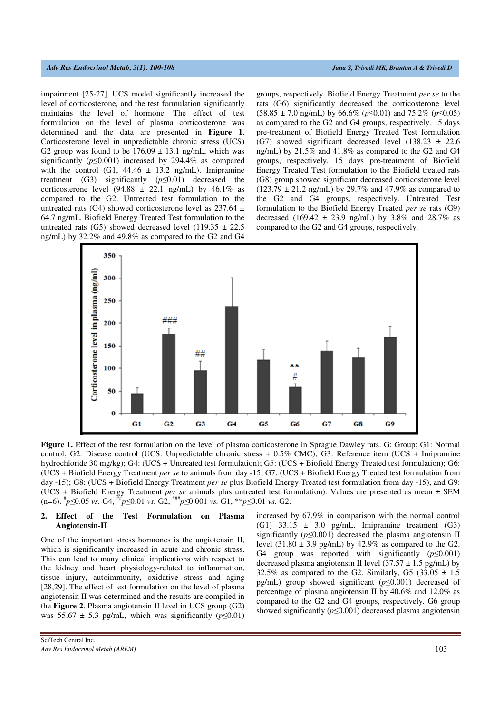impairment [25-27]. UCS model significantly increased the level of corticosterone, and the test formulation significantly maintains the level of hormone. The effect of test formulation on the level of plasma corticosterone was determined and the data are presented in **Figure 1**. Corticosterone level in unpredictable chronic stress (UCS) G2 group was found to be  $176.09 \pm 13.1$  ng/mL, which was significantly (*p*≤0.001) increased by 294.4% as compared with the control (G1,  $44.46 \pm 13.2$  ng/mL). Imipramine treatment (G3) significantly (*p*≤0.01) decreased the corticosterone level (94.88  $\pm$  22.1 ng/mL) by 46.1% as compared to the G2. Untreated test formulation to the untreated rats (G4) showed corticosterone level as  $237.64 \pm$ 64.7 ng/mL. Biofield Energy Treated Test formulation to the untreated rats (G5) showed decreased level (119.35  $\pm$  22.5 ng/mL) by 32.2% and 49.8% as compared to the G2 and G4

groups, respectively. Biofield Energy Treatment *per se* to the rats (G6) significantly decreased the corticosterone level (58.85 ± 7.0 ng/mL) by 66.6% (*p*≤0.01) and 75.2% (*p*≤0.05) as compared to the G2 and G4 groups, respectively. 15 days pre-treatment of Biofield Energy Treated Test formulation (G7) showed significant decreased level  $(138.23 \pm 22.6$ ng/mL) by 21.5% and 41.8% as compared to the G2 and G4 groups, respectively. 15 days pre-treatment of Biofield Energy Treated Test formulation to the Biofield treated rats (G8) group showed significant decreased corticosterone level  $(123.79 \pm 21.2 \text{ ng/mL})$  by 29.7% and 47.9% as compared to the G2 and G4 groups, respectively. Untreated Test formulation to the Biofield Energy Treated *per se* rats (G9) decreased (169.42  $\pm$  23.9 ng/mL) by 3.8% and 28.7% as compared to the G2 and G4 groups, respectively.



**Figure 1.** Effect of the test formulation on the level of plasma corticosterone in Sprague Dawley rats. G: Group; G1: Normal control; G2: Disease control (UCS: Unpredictable chronic stress + 0.5% CMC); G3: Reference item (UCS + Imipramine hydrochloride 30 mg/kg); G4: (UCS + Untreated test formulation); G5: (UCS + Biofield Energy Treated test formulation); G6: (UCS + Biofield Energy Treatment *per se* to animals from day -15; G7: (UCS + Biofield Energy Treated test formulation from day -15); G8: (UCS + Biofield Energy Treatment *per se* plus Biofield Energy Treated test formulation from day -15), and G9: (UCS + Biofield Energy Treatment *per se* animals plus untreated test formulation). Values are presented as mean ± SEM (n=6). # *p*≤0.05 *vs.* G4, ## *p*≤0.01 *vs.* G2, ### *p*≤0.001 *vs.* G1, \*\**p*≤0.01 *vs.* G2.

### **2. Effect of the Test Formulation on Plasma Angiotensin-II**

One of the important stress hormones is the angiotensin II, which is significantly increased in acute and chronic stress. This can lead to many clinical implications with respect to the kidney and heart physiology-related to inflammation, tissue injury, autoimmunity, oxidative stress and aging [28,29]. The effect of test formulation on the level of plasma angiotensin II was determined and the results are compiled in the **Figure 2**. Plasma angiotensin II level in UCS group (G2) was 55.67  $\pm$  5.3 pg/mL, which was significantly ( $p \le 0.01$ ) increased by 67.9% in comparison with the normal control (G1)  $33.15 \pm 3.0$  pg/mL. Imipramine treatment (G3) significantly ( $p \le 0.001$ ) decreased the plasma angiotensin II level  $(31.80 \pm 3.9 \text{ pg/mL})$  by 42.9% as compared to the G2. G4 group was reported with significantly (*p*≤0.001) decreased plasma angiotensin II level  $(37.57 \pm 1.5 \text{ pc/mL})$  by 32.5% as compared to the G2. Similarly, G5 (33.05  $\pm$  1.5 pg/mL) group showed significant (*p*≤0.001) decreased of percentage of plasma angiotensin II by 40.6% and 12.0% as compared to the G2 and G4 groups, respectively. G6 group showed significantly (*p*≤0.001) decreased plasma angiotensin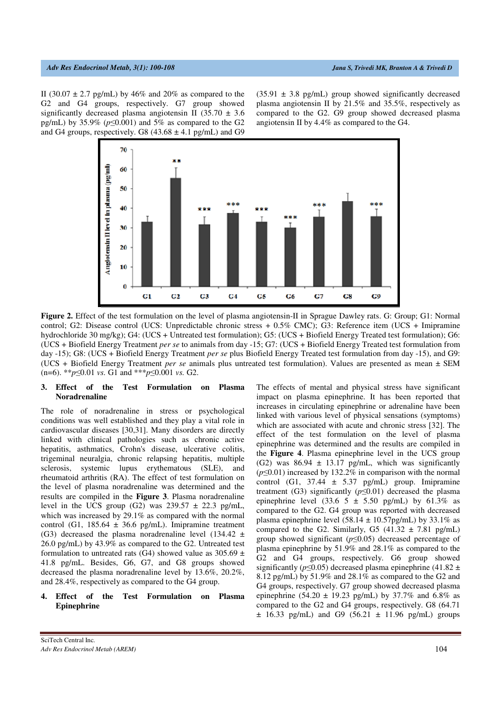II (30.07  $\pm$  2.7 pg/mL) by 46% and 20% as compared to the G2 and G4 groups, respectively. G7 group showed significantly decreased plasma angiotensin II (35.70  $\pm$  3.6 pg/mL) by 35.9% (*p*≤0.001) and 5% as compared to the G2 and G4 groups, respectively. G8  $(43.68 \pm 4.1 \text{ pg/mL})$  and G9

 $(35.91 \pm 3.8 \text{ pg/mL})$  group showed significantly decreased plasma angiotensin II by 21.5% and 35.5%, respectively as compared to the G2. G9 group showed decreased plasma angiotensin II by 4.4% as compared to the G4.



**Figure 2.** Effect of the test formulation on the level of plasma angiotensin-II in Sprague Dawley rats. G: Group; G1: Normal control; G2: Disease control (UCS: Unpredictable chronic stress + 0.5% CMC); G3: Reference item (UCS + Imipramine hydrochloride 30 mg/kg); G4: (UCS + Untreated test formulation); G5: (UCS + Biofield Energy Treated test formulation); G6: (UCS + Biofield Energy Treatment *per se* to animals from day -15; G7: (UCS + Biofield Energy Treated test formulation from day -15); G8: (UCS + Biofield Energy Treatment *per se* plus Biofield Energy Treated test formulation from day -15), and G9: (UCS + Biofield Energy Treatment *per se* animals plus untreated test formulation). Values are presented as mean ± SEM (n=6). \*\**p*≤0.01 *vs.* G1 and \*\*\**p*≤0.001 *vs.* G2.

### **3. Effect of the Test Formulation on Plasma Noradrenaline**

The role of noradrenaline in stress or psychological conditions was well established and they play a vital role in cardiovascular diseases [30,31]. Many disorders are directly linked with clinical pathologies such as chronic active hepatitis, asthmatics, Crohn's disease, ulcerative colitis, trigeminal neuralgia, chronic relapsing hepatitis, multiple sclerosis, systemic lupus erythematous (SLE), and rheumatoid arthritis (RA). The effect of test formulation on the level of plasma noradrenaline was determined and the results are compiled in the **Figure 3**. Plasma noradrenaline level in the UCS group (G2) was  $239.57 \pm 22.3$  pg/mL, which was increased by 29.1% as compared with the normal control (G1,  $185.64 \pm 36.6$  pg/mL). Imipramine treatment (G3) decreased the plasma noradrenaline level (134.42  $\pm$ 26.0 pg/mL) by 43.9% as compared to the G2. Untreated test formulation to untreated rats (G4) showed value as  $305.69 \pm$ 41.8 pg/mL. Besides, G6, G7, and G8 groups showed decreased the plasma noradrenaline level by 13.6%, 20.2%, and 28.4%, respectively as compared to the G4 group.

### **4. Effect of the Test Formulation on Plasma Epinephrine**

The effects of mental and physical stress have significant impact on plasma epinephrine. It has been reported that increases in circulating epinephrine or adrenaline have been linked with various level of physical sensations (symptoms) which are associated with acute and chronic stress [32]. The effect of the test formulation on the level of plasma epinephrine was determined and the results are compiled in the **Figure 4**. Plasma epinephrine level in the UCS group (G2) was  $86.94 \pm 13.17$  pg/mL, which was significantly (*p*≤0.01) increased by 132.2% in comparison with the normal control (G1,  $37.44 \pm 5.37$  pg/mL) group. Imipramine treatment (G3) significantly  $(p \le 0.01)$  decreased the plasma epinephrine level (33.6  $5 \pm 5.50$  pg/mL) by 61.3% as compared to the G2. G4 group was reported with decreased plasma epinephrine level  $(58.14 \pm 10.57 \text{pg/mL})$  by 33.1% as compared to the G2. Similarly, G5  $(41.32 \pm 7.81 \text{ pg/mL})$ group showed significant (*p*≤0.05) decreased percentage of plasma epinephrine by 51.9% and 28.1% as compared to the G2 and G4 groups, respectively. G6 group showed significantly ( $p \le 0.05$ ) decreased plasma epinephrine (41.82 ± 8.12 pg/mL) by 51.9% and 28.1% as compared to the G2 and G4 groups, respectively. G7 group showed decreased plasma epinephrine (54.20  $\pm$  19.23 pg/mL) by 37.7% and 6.8% as compared to the G2 and G4 groups, respectively. G8 (64.71  $\pm$  16.33 pg/mL) and G9 (56.21  $\pm$  11.96 pg/mL) groups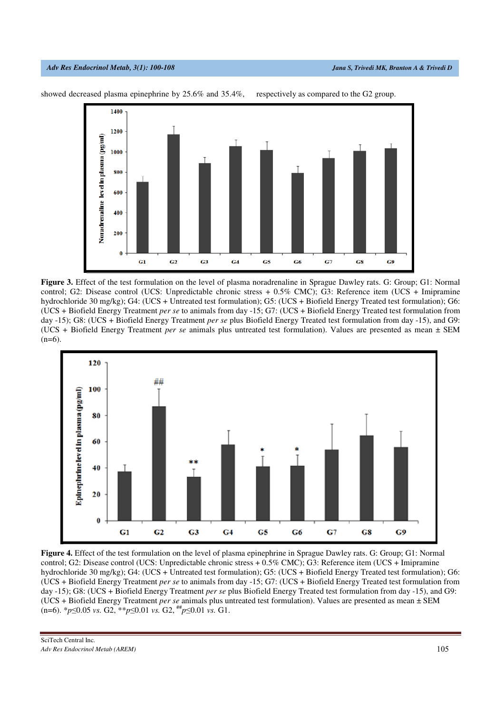

showed decreased plasma epinephrine by 25.6% and 35.4%, respectively as compared to the G2 group.





**Figure 4.** Effect of the test formulation on the level of plasma epinephrine in Sprague Dawley rats. G: Group; G1: Normal control; G2: Disease control (UCS: Unpredictable chronic stress + 0.5% CMC); G3: Reference item (UCS + Imipramine hydrochloride 30 mg/kg); G4: (UCS + Untreated test formulation); G5: (UCS + Biofield Energy Treated test formulation); G6: (UCS + Biofield Energy Treatment *per se* to animals from day -15; G7: (UCS + Biofield Energy Treated test formulation from day -15); G8: (UCS + Biofield Energy Treatment *per se* plus Biofield Energy Treated test formulation from day -15), and G9: (UCS + Biofield Energy Treatment *per se* animals plus untreated test formulation). Values are presented as mean ± SEM (n=6). \**p*≤0.05 *vs.* G2, \*\**p*≤0.01 *vs.* G2, ## *p*≤0.01 *vs.* G1.

SciTech Central Inc*. Adv Res Endocrinol Metab (AREM)* 105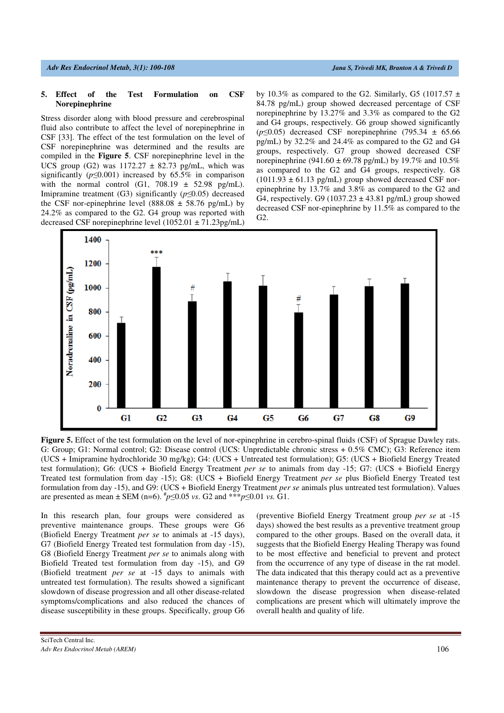#### **5. Effect of the Test Formulation on CSF Norepinephrine**

Stress disorder along with blood pressure and cerebrospinal fluid also contribute to affect the level of norepinephrine in CSF [33]. The effect of the test formulation on the level of CSF norepinephrine was determined and the results are compiled in the **Figure 5**. CSF norepinephrine level in the UCS group (G2) was  $1172.27 \pm 82.73$  pg/mL, which was significantly ( $p \le 0.001$ ) increased by 65.5% in comparison with the normal control (G1,  $708.19 \pm 52.98$  pg/mL). Imipramine treatment (G3) significantly (*p*≤0.05) decreased the CSF nor-epinephrine level (888.08  $\pm$  58.76 pg/mL) by 24.2% as compared to the G2. G4 group was reported with decreased CSF norepinephrine level (1052.01 ± 71.23pg/mL)

by 10.3% as compared to the G2. Similarly, G5 (1017.57  $\pm$ 84.78 pg/mL) group showed decreased percentage of CSF norepinephrine by 13.27% and 3.3% as compared to the G2 and G4 groups, respectively. G6 group showed significantly  $(p \le 0.05)$  decreased CSF norepinephrine (795.34  $\pm$  65.66) pg/mL) by 32.2% and 24.4% as compared to the G2 and G4 groups, respectively. G7 group showed decreased CSF norepinephrine (941.60  $\pm$  69.78 pg/mL) by 19.7% and 10.5% as compared to the G2 and G4 groups, respectively. G8  $(1011.93 \pm 61.13 \text{ pg/mL})$  group showed decreased CSF norepinephrine by 13.7% and 3.8% as compared to the G2 and G4, respectively. G9 (1037.23  $\pm$  43.81 pg/mL) group showed decreased CSF nor-epinephrine by 11.5% as compared to the G2.



**Figure 5.** Effect of the test formulation on the level of nor-epinephrine in cerebro-spinal fluids (CSF) of Sprague Dawley rats. G: Group; G1: Normal control; G2: Disease control (UCS: Unpredictable chronic stress + 0.5% CMC); G3: Reference item (UCS + Imipramine hydrochloride 30 mg/kg); G4: (UCS + Untreated test formulation); G5: (UCS + Biofield Energy Treated test formulation); G6: (UCS + Biofield Energy Treatment *per se* to animals from day -15; G7: (UCS + Biofield Energy Treated test formulation from day -15); G8: (UCS + Biofield Energy Treatment *per se* plus Biofield Energy Treated test formulation from day -15), and G9: (UCS + Biofield Energy Treatment *per se* animals plus untreated test formulation). Values are presented as mean ± SEM (n=6).  $^{*}p \le 0.05$  *vs*. G2 and \*\*\**p*≤0.01 *vs*. G1.

In this research plan, four groups were considered as preventive maintenance groups. These groups were G6 (Biofield Energy Treatment *per se* to animals at -15 days), G7 (Biofield Energy Treated test formulation from day -15), G8 (Biofield Energy Treatment *per se* to animals along with Biofield Treated test formulation from day -15), and G9 (Biofield treatment *per se* at -15 days to animals with untreated test formulation). The results showed a significant slowdown of disease progression and all other disease-related symptoms/complications and also reduced the chances of disease susceptibility in these groups. Specifically, group G6 (preventive Biofield Energy Treatment group *per se* at -15 days) showed the best results as a preventive treatment group compared to the other groups. Based on the overall data, it suggests that the Biofield Energy Healing Therapy was found to be most effective and beneficial to prevent and protect from the occurrence of any type of disease in the rat model. The data indicated that this therapy could act as a preventive maintenance therapy to prevent the occurrence of disease, slowdown the disease progression when disease-related complications are present which will ultimately improve the overall health and quality of life.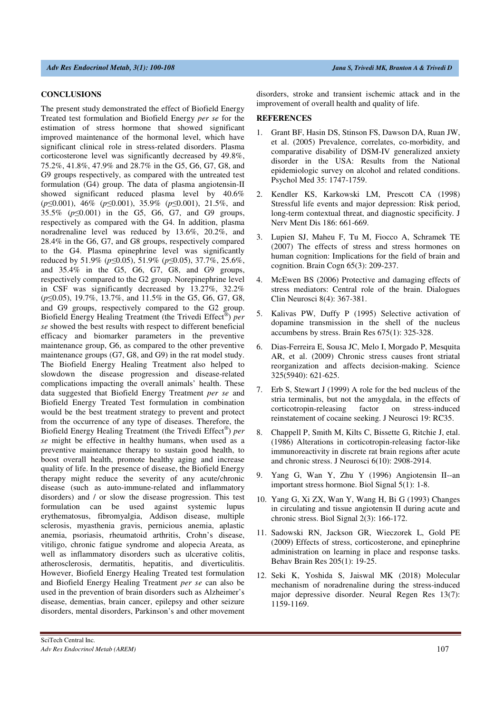#### **CONCLUSIONS**

The present study demonstrated the effect of Biofield Energy Treated test formulation and Biofield Energy *per se* for the estimation of stress hormone that showed significant improved maintenance of the hormonal level, which have significant clinical role in stress-related disorders. Plasma corticosterone level was significantly decreased by 49.8%, 75.2%, 41.8%, 47.9% and 28.7% in the G5, G6, G7, G8, and G9 groups respectively, as compared with the untreated test formulation (G4) group. The data of plasma angiotensin-II showed significant reduced plasma level by 40.6% (*p*≤0.001), 46% (*p*≤0.001), 35.9% (*p*≤0.001), 21.5%, and 35.5% (*p*≤0.001) in the G5, G6, G7, and G9 groups, respectively as compared with the G4. In addition, plasma noradrenaline level was reduced by 13.6%, 20.2%, and 28.4% in the G6, G7, and G8 groups, respectively compared to the G4. Plasma epinephrine level was significantly reduced by 51.9% (*p*≤0.05), 51.9% (*p*≤0.05), 37.7%, 25.6%, and 35.4% in the G5, G6, G7, G8, and G9 groups, respectively compared to the G2 group. Norepinephrine level in CSF was significantly decreased by 13.27%, 32.2% (*p*≤0.05), 19.7%, 13.7%, and 11.5% in the G5, G6, G7, G8, and G9 groups, respectively compared to the G2 group. Biofield Energy Healing Treatment (the Trivedi Effect® ) *per se* showed the best results with respect to different beneficial efficacy and biomarker parameters in the preventive maintenance group, G6, as compared to the other preventive maintenance groups (G7, G8, and G9) in the rat model study. The Biofield Energy Healing Treatment also helped to slowdown the disease progression and disease-related complications impacting the overall animals' health. These data suggested that Biofield Energy Treatment *per se* and Biofield Energy Treated Test formulation in combination would be the best treatment strategy to prevent and protect from the occurrence of any type of diseases. Therefore, the Biofield Energy Healing Treatment (the Trivedi Effect® ) *per se* might be effective in healthy humans, when used as a preventive maintenance therapy to sustain good health, to boost overall health, promote healthy aging and increase quality of life. In the presence of disease, the Biofield Energy therapy might reduce the severity of any acute/chronic disease (such as auto-immune-related and inflammatory disorders) and / or slow the disease progression. This test formulation can be used against systemic lupus erythematosus, fibromyalgia, Addison disease, multiple sclerosis, myasthenia gravis, pernicious anemia, aplastic anemia, psoriasis, rheumatoid arthritis, Crohn's disease, vitiligo, chronic fatigue syndrome and alopecia Areata, as well as inflammatory disorders such as ulcerative colitis, atherosclerosis, dermatitis, hepatitis, and diverticulitis. However, Biofield Energy Healing Treated test formulation and Biofield Energy Healing Treatment *per se* can also be used in the prevention of brain disorders such as Alzheimer's disease, dementias, brain cancer, epilepsy and other seizure disorders, mental disorders, Parkinson's and other movement disorders, stroke and transient ischemic attack and in the improvement of overall health and quality of life.

### **REFERENCES**

- 1. Grant BF, Hasin DS, Stinson FS, Dawson DA, Ruan JW, et al. (2005) Prevalence, correlates, co-morbidity, and comparative disability of DSM-IV generalized anxiety disorder in the USA: Results from the National epidemiologic survey on alcohol and related conditions. Psychol Med 35: 1747-1759.
- 2. Kendler KS, Karkowski LM, Prescott CA (1998) Stressful life events and major depression: Risk period, long-term contextual threat, and diagnostic specificity. J Nerv Ment Dis 186: 661-669.
- 3. Lupien SJ, Maheu F, Tu M, Fiocco A, Schramek TE (2007) The effects of stress and stress hormones on human cognition: Implications for the field of brain and cognition. Brain Cogn 65(3): 209-237.
- 4. McEwen BS (2006) Protective and damaging effects of stress mediators: Central role of the brain. Dialogues Clin Neurosci 8(4): 367-381.
- 5. Kalivas PW, Duffy P (1995) Selective activation of dopamine transmission in the shell of the nucleus accumbens by stress. Brain Res 675(1): 325-328.
- 6. Dias-Ferreira E, Sousa JC, Melo I, Morgado P, Mesquita AR, et al. (2009) Chronic stress causes front striatal reorganization and affects decision-making. Science 325(5940): 621-625.
- 7. Erb S, Stewart J (1999) A role for the bed nucleus of the stria terminalis, but not the amygdala, in the effects of corticotropin-releasing factor on stress-induced reinstatement of cocaine seeking. J Neurosci 19: RC35.
- 8. Chappell P, Smith M, Kilts C, Bissette G, Ritchie J, etal. (1986) Alterations in corticotropin-releasing factor-like immunoreactivity in discrete rat brain regions after acute and chronic stress. J Neurosci 6(10): 2908-2914.
- 9. Yang G, Wan Y, Zhu Y (1996) Angiotensin II--an important stress hormone. Biol Signal 5(1): 1-8.
- 10. Yang G, Xi ZX, Wan Y, Wang H, Bi G (1993) Changes in circulating and tissue angiotensin II during acute and chronic stress. Biol Signal 2(3): 166-172.
- 11. Sadowski RN, Jackson GR, Wieczorek L, Gold PE (2009) Effects of stress, corticosterone, and epinephrine administration on learning in place and response tasks. Behav Brain Res 205(1): 19-25.
- 12. Seki K, Yoshida S, Jaiswal MK (2018) Molecular mechanism of noradrenaline during the stress-induced major depressive disorder. Neural Regen Res 13(7): 1159-1169.